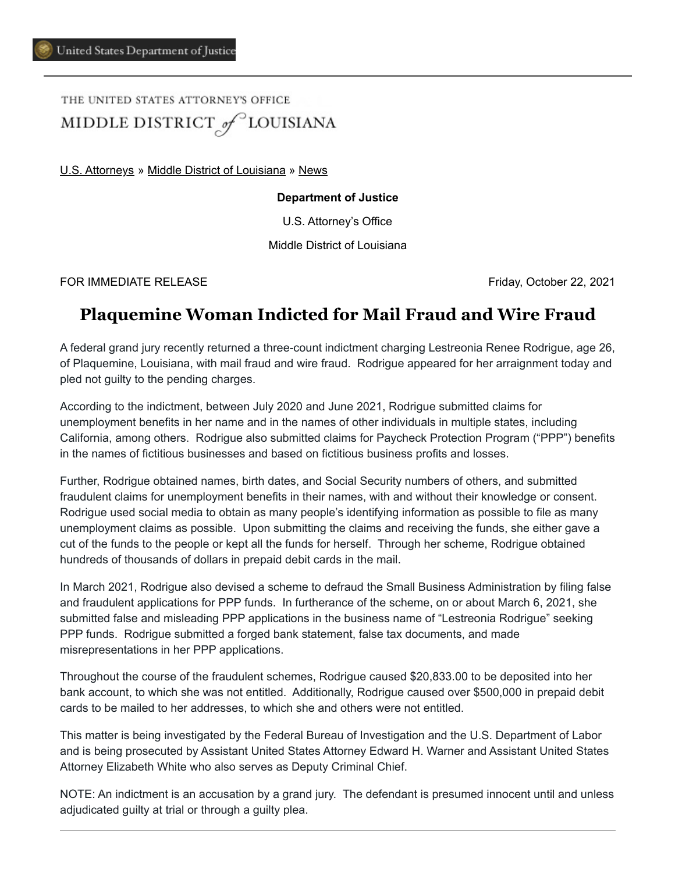THE UNITED STATES ATTORNEY'S OFFICE MIDDLE DISTRICT of LOUISIANA

[U.S. Attorneys](https://www.justice.gov/usao) » [Middle District of Louisiana](https://www.justice.gov/usao-mdla) » [News](https://www.justice.gov/usao-mdla/pr)

## **Department of Justice**

U.S. Attorney's Office

Middle District of Louisiana

FOR IMMEDIATE RELEASE Friday, October 22, 2021

## **Plaquemine Woman Indicted for Mail Fraud and Wire Fraud**

A federal grand jury recently returned a three-count indictment charging Lestreonia Renee Rodrigue, age 26, of Plaquemine, Louisiana, with mail fraud and wire fraud. Rodrigue appeared for her arraignment today and pled not guilty to the pending charges.

According to the indictment, between July 2020 and June 2021, Rodrigue submitted claims for unemployment benefits in her name and in the names of other individuals in multiple states, including California, among others. Rodrigue also submitted claims for Paycheck Protection Program ("PPP") benefits in the names of fictitious businesses and based on fictitious business profits and losses.

Further, Rodrigue obtained names, birth dates, and Social Security numbers of others, and submitted fraudulent claims for unemployment benefits in their names, with and without their knowledge or consent. Rodrigue used social media to obtain as many people's identifying information as possible to file as many unemployment claims as possible. Upon submitting the claims and receiving the funds, she either gave a cut of the funds to the people or kept all the funds for herself. Through her scheme, Rodrigue obtained hundreds of thousands of dollars in prepaid debit cards in the mail.

In March 2021, Rodrigue also devised a scheme to defraud the Small Business Administration by filing false and fraudulent applications for PPP funds. In furtherance of the scheme, on or about March 6, 2021, she submitted false and misleading PPP applications in the business name of "Lestreonia Rodrigue" seeking PPP funds. Rodrigue submitted a forged bank statement, false tax documents, and made misrepresentations in her PPP applications.

Throughout the course of the fraudulent schemes, Rodrigue caused \$20,833.00 to be deposited into her bank account, to which she was not entitled. Additionally, Rodrigue caused over \$500,000 in prepaid debit cards to be mailed to her addresses, to which she and others were not entitled.

This matter is being investigated by the Federal Bureau of Investigation and the U.S. Department of Labor and is being prosecuted by Assistant United States Attorney Edward H. Warner and Assistant United States Attorney Elizabeth White who also serves as Deputy Criminal Chief.

NOTE: An indictment is an accusation by a grand jury. The defendant is presumed innocent until and unless adjudicated guilty at trial or through a guilty plea.